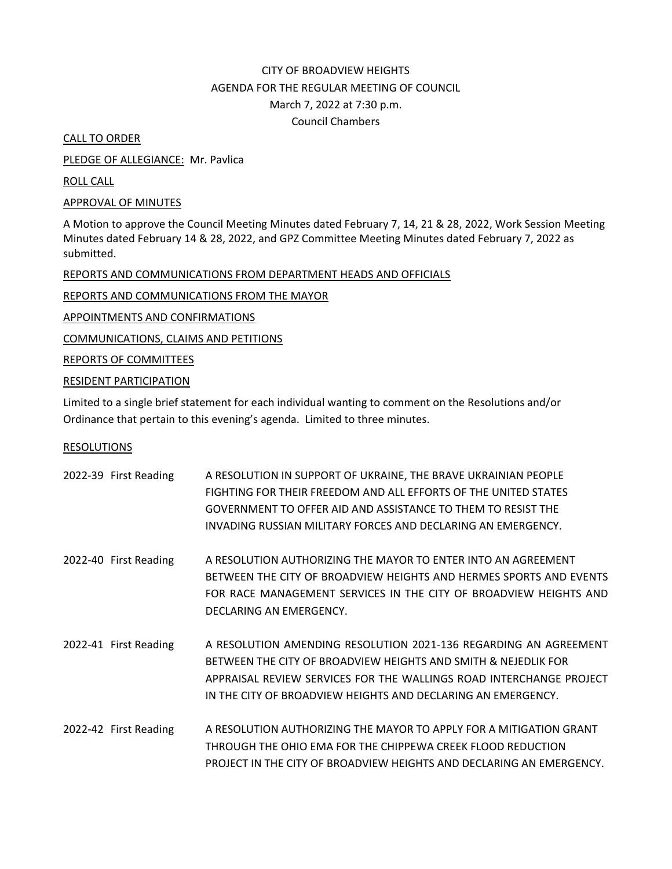# CITY OF BROADVIEW HEIGHTS AGENDA FOR THE REGULAR MEETING OF COUNCIL March 7, 2022 at 7:30 p.m. Council Chambers

CALL TO ORDER

PLEDGE OF ALLEGIANCE: Mr. Pavlica

ROLL CALL

## APPROVAL OF MINUTES

A Motion to approve the Council Meeting Minutes dated February 7, 14, 21 & 28, 2022, Work Session Meeting Minutes dated February 14 & 28, 2022, and GPZ Committee Meeting Minutes dated February 7, 2022 as submitted.

# REPORTS AND COMMUNICATIONS FROM DEPARTMENT HEADS AND OFFICIALS

REPORTS AND COMMUNICATIONS FROM THE MAYOR

APPOINTMENTS AND CONFIRMATIONS

COMMUNICATIONS, CLAIMS AND PETITIONS

REPORTS OF COMMITTEES

# RESIDENT PARTICIPATION

Limited to a single brief statement for each individual wanting to comment on the Resolutions and/or Ordinance that pertain to this evening's agenda. Limited to three minutes.

## RESOLUTIONS

| 2022-39 First Reading | A RESOLUTION IN SUPPORT OF UKRAINE, THE BRAVE UKRAINIAN PEOPLE<br>FIGHTING FOR THEIR FREEDOM AND ALL EFFORTS OF THE UNITED STATES<br>GOVERNMENT TO OFFER AID AND ASSISTANCE TO THEM TO RESIST THE<br>INVADING RUSSIAN MILITARY FORCES AND DECLARING AN EMERGENCY.         |
|-----------------------|---------------------------------------------------------------------------------------------------------------------------------------------------------------------------------------------------------------------------------------------------------------------------|
| 2022-40 First Reading | A RESOLUTION AUTHORIZING THE MAYOR TO ENTER INTO AN AGREEMENT<br>BETWEEN THE CITY OF BROADVIEW HEIGHTS AND HERMES SPORTS AND EVENTS<br>FOR RACE MANAGEMENT SERVICES IN THE CITY OF BROADVIEW HEIGHTS AND<br>DECLARING AN EMERGENCY.                                       |
| 2022-41 First Reading | A RESOLUTION AMENDING RESOLUTION 2021-136 REGARDING AN AGREEMENT<br>BETWEEN THE CITY OF BROADVIEW HEIGHTS AND SMITH & NEJEDLIK FOR<br>APPRAISAL REVIEW SERVICES FOR THE WALLINGS ROAD INTERCHANGE PROJECT<br>IN THE CITY OF BROADVIEW HEIGHTS AND DECLARING AN EMERGENCY. |
| 2022-42 First Reading | A RESOLUTION AUTHORIZING THE MAYOR TO APPLY FOR A MITIGATION GRANT<br>THROUGH THE OHIO EMA FOR THE CHIPPEWA CREEK FLOOD REDUCTION<br>PROJECT IN THE CITY OF BROADVIEW HEIGHTS AND DECLARING AN EMERGENCY.                                                                 |